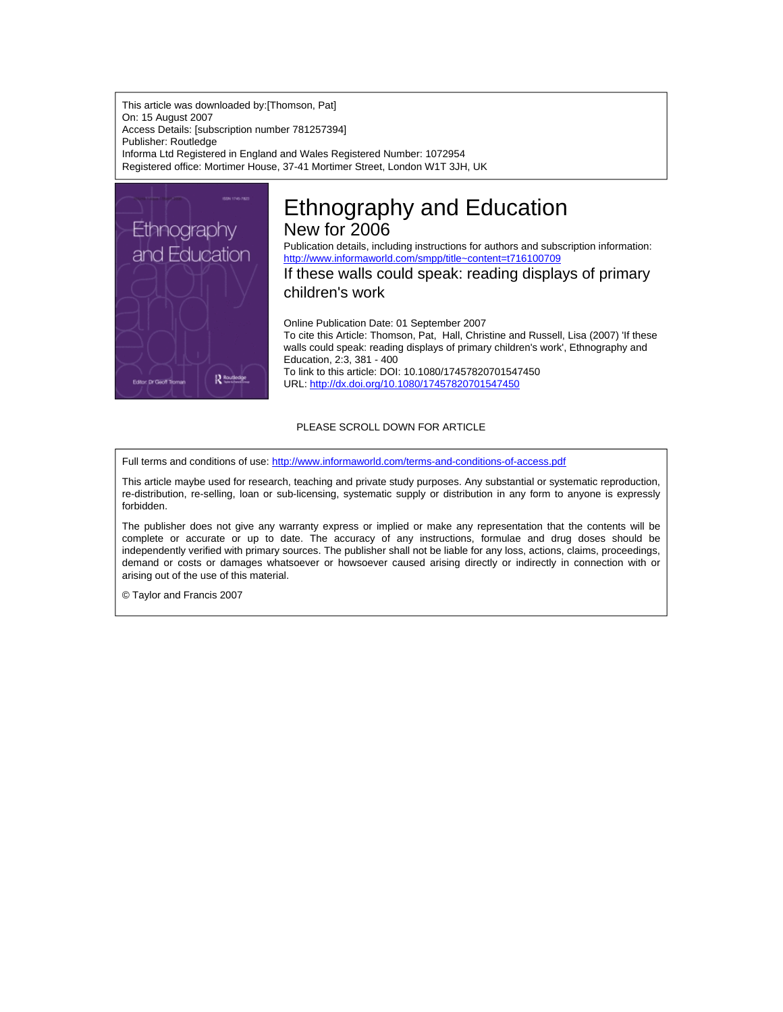This article was downloaded by:[Thomson, Pat] On: 15 August 2007 Access Details: [subscription number 781257394] Publisher: Routledge Informa Ltd Registered in England and Wales Registered Number: 1072954 Registered office: Mortimer House, 37-41 Mortimer Street, London W1T 3JH, UK



## Ethnography and Education New for 2006

Publication details, including instructions for authors and subscription information: <http://www.informaworld.com/smpp/title~content=t716100709>

If these walls could speak: reading displays of primary children's work

Online Publication Date: 01 September 2007 To cite this Article: Thomson, Pat, Hall, Christine and Russell, Lisa (2007) 'If these walls could speak: reading displays of primary children's work', Ethnography and Education, 2:3, 381 - 400 To link to this article: DOI: 10.1080/17457820701547450 URL: <http://dx.doi.org/10.1080/17457820701547450>

#### PLEASE SCROLL DOWN FOR ARTICLE

Full terms and conditions of use: <http://www.informaworld.com/terms-and-conditions-of-access.pdf>

This article maybe used for research, teaching and private study purposes. Any substantial or systematic reproduction, re-distribution, re-selling, loan or sub-licensing, systematic supply or distribution in any form to anyone is expressly forbidden.

The publisher does not give any warranty express or implied or make any representation that the contents will be complete or accurate or up to date. The accuracy of any instructions, formulae and drug doses should be independently verified with primary sources. The publisher shall not be liable for any loss, actions, claims, proceedings, demand or costs or damages whatsoever or howsoever caused arising directly or indirectly in connection with or arising out of the use of this material.

© Taylor and Francis 2007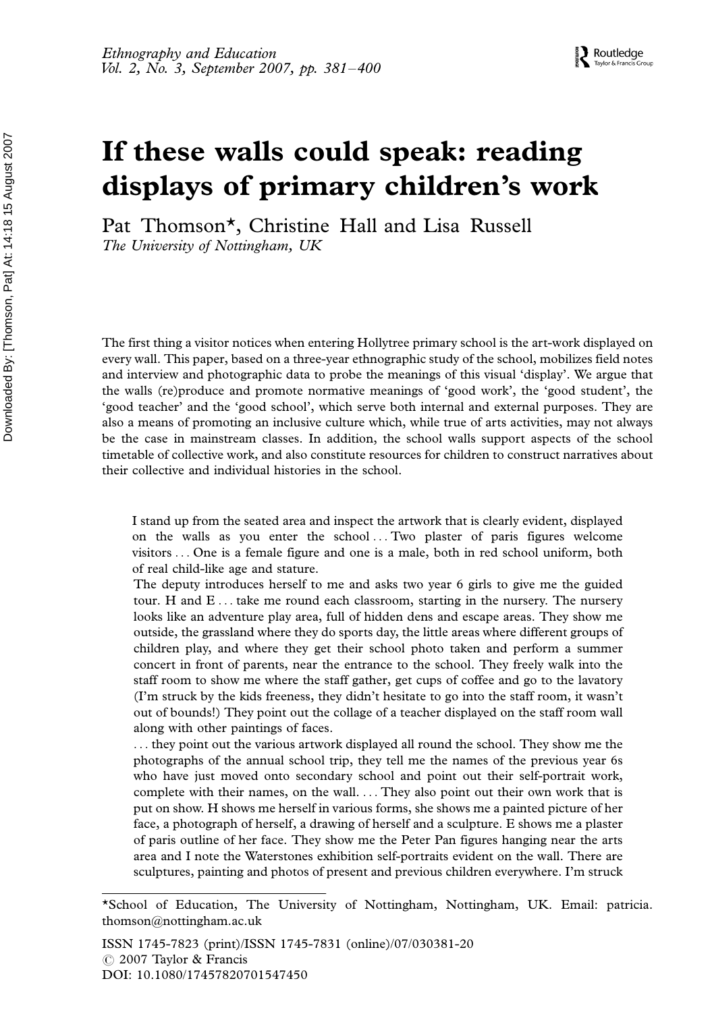# If these walls could speak: reading displays of primary children's work

Pat Thomson\*, Christine Hall and Lisa Russell The University of Nottingham, UK

The first thing a visitor notices when entering Hollytree primary school is the art-work displayed on every wall. This paper, based on a three-year ethnographic study of the school, mobilizes field notes and interview and photographic data to probe the meanings of this visual 'display'. We argue that the walls (re)produce and promote normative meanings of 'good work', the 'good student', the 'good teacher' and the 'good school', which serve both internal and external purposes. They are also a means of promoting an inclusive culture which, while true of arts activities, may not always be the case in mainstream classes. In addition, the school walls support aspects of the school timetable of collective work, and also constitute resources for children to construct narratives about their collective and individual histories in the school.

I stand up from the seated area and inspect the artwork that is clearly evident, displayed on the walls as you enter the school ... Two plaster of paris figures welcome visitors ... One is a female figure and one is a male, both in red school uniform, both of real child-like age and stature.

The deputy introduces herself to me and asks two year 6 girls to give me the guided tour. H and E ... take me round each classroom, starting in the nursery. The nursery looks like an adventure play area, full of hidden dens and escape areas. They show me outside, the grassland where they do sports day, the little areas where different groups of children play, and where they get their school photo taken and perform a summer concert in front of parents, near the entrance to the school. They freely walk into the staff room to show me where the staff gather, get cups of coffee and go to the lavatory (I'm struck by the kids freeness, they didn't hesitate to go into the staff room, it wasn't out of bounds!) They point out the collage of a teacher displayed on the staff room wall along with other paintings of faces.

... they point out the various artwork displayed all round the school. They show me the photographs of the annual school trip, they tell me the names of the previous year 6s who have just moved onto secondary school and point out their self-portrait work, complete with their names, on the wall. ... They also point out their own work that is put on show. H shows me herself in various forms, she shows me a painted picture of her face, a photograph of herself, a drawing of herself and a sculpture. E shows me a plaster of paris outline of her face. They show me the Peter Pan figures hanging near the arts area and I note the Waterstones exhibition self-portraits evident on the wall. There are sculptures, painting and photos of present and previous children everywhere. I'm struck

<sup>\*</sup>School of Education, The University of Nottingham, Nottingham, UK. Email: patricia. thomson@nottingham.ac.uk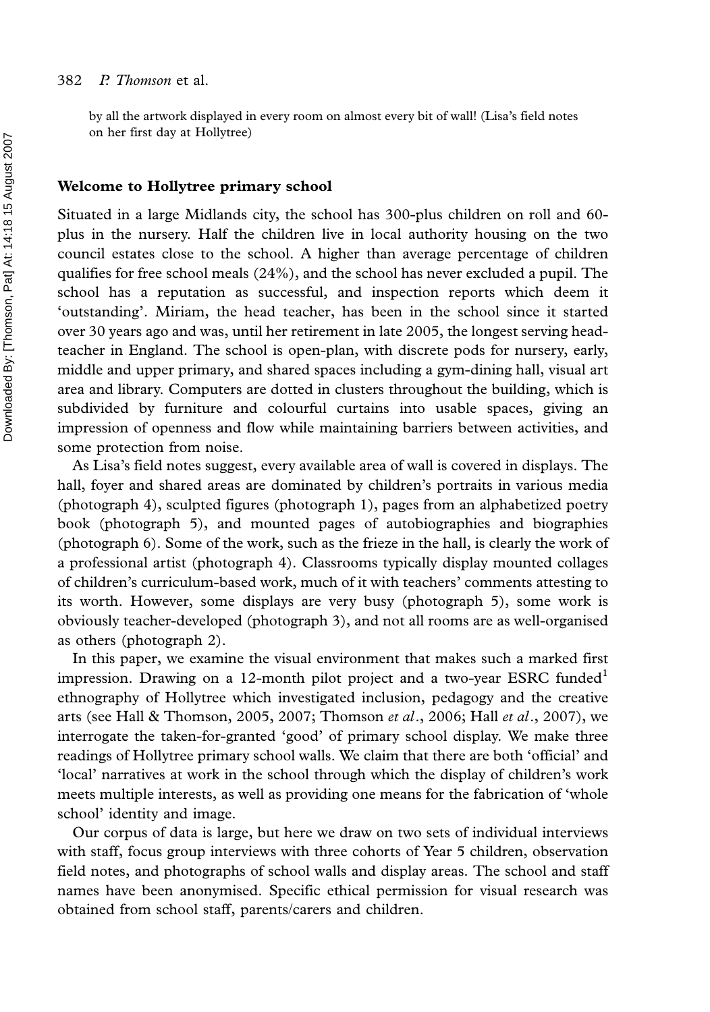by all the artwork displayed in every room on almost every bit of wall! (Lisa's field notes on her first day at Hollytree)

#### Welcome to Hollytree primary school

Situated in a large Midlands city, the school has 300-plus children on roll and 60 plus in the nursery. Half the children live in local authority housing on the two council estates close to the school. A higher than average percentage of children qualifies for free school meals (24%), and the school has never excluded a pupil. The school has a reputation as successful, and inspection reports which deem it 'outstanding'. Miriam, the head teacher, has been in the school since it started over 30 years ago and was, until her retirement in late 2005, the longest serving headteacher in England. The school is open-plan, with discrete pods for nursery, early, middle and upper primary, and shared spaces including a gym-dining hall, visual art area and library. Computers are dotted in clusters throughout the building, which is subdivided by furniture and colourful curtains into usable spaces, giving an impression of openness and flow while maintaining barriers between activities, and some protection from noise.

As Lisa's field notes suggest, every available area of wall is covered in displays. The hall, foyer and shared areas are dominated by children's portraits in various media (photograph 4), sculpted figures (photograph 1), pages from an alphabetized poetry book (photograph 5), and mounted pages of autobiographies and biographies (photograph 6). Some of the work, such as the frieze in the hall, is clearly the work of a professional artist (photograph 4). Classrooms typically display mounted collages of children's curriculum-based work, much of it with teachers' comments attesting to its worth. However, some displays are very busy (photograph 5), some work is obviously teacher-developed (photograph 3), and not all rooms are as well-organised as others (photograph 2).

In this paper, we examine the visual environment that makes such a marked first impression. Drawing on a 12-month pilot project and a two-year ESRC funded ethnography of Hollytree which investigated inclusion, pedagogy and the creative arts (see Hall & Thomson, 2005, 2007; Thomson et al., 2006; Hall et al., 2007), we interrogate the taken-for-granted 'good' of primary school display. We make three readings of Hollytree primary school walls. We claim that there are both 'official' and 'local' narratives at work in the school through which the display of children's work meets multiple interests, as well as providing one means for the fabrication of 'whole school' identity and image.

Our corpus of data is large, but here we draw on two sets of individual interviews with staff, focus group interviews with three cohorts of Year 5 children, observation field notes, and photographs of school walls and display areas. The school and staff names have been anonymised. Specific ethical permission for visual research was obtained from school staff, parents/carers and children.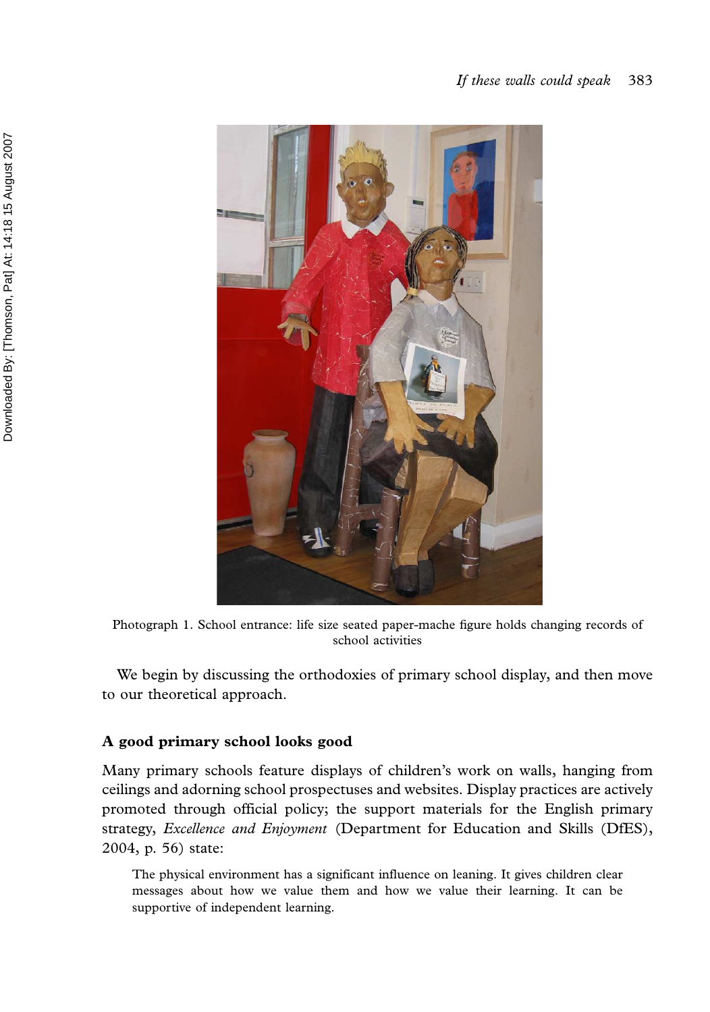

Photograph 1. School entrance: life size seated paper-mache figure holds changing records of school activities

We begin by discussing the orthodoxies of primary school display, and then move to our theoretical approach.

## A good primary school looks good

Many primary schools feature displays of children's work on walls, hanging from ceilings and adorning school prospectuses and websites. Display practices are actively promoted through official policy; the support materials for the English primary strategy, Excellence and Enjoyment (Department for Education and Skills (DfES), 2004, p. 56) state:

The physical environment has a significant influence on leaning. It gives children clear messages about how we value them and how we value their learning. It can be supportive of independent learning.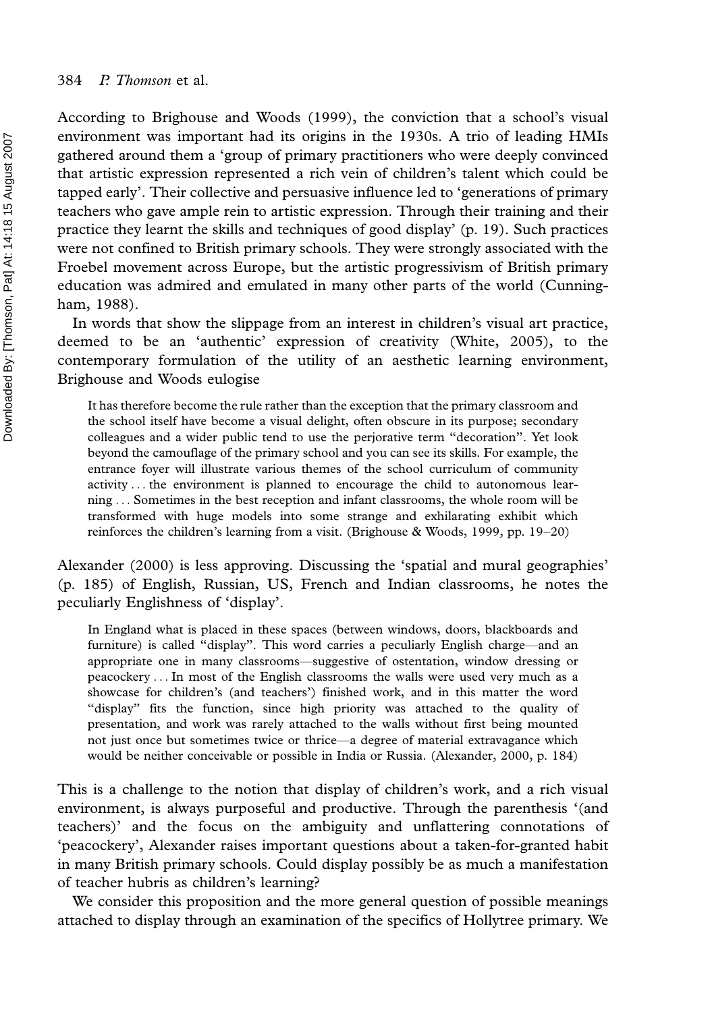According to Brighouse and Woods (1999), the conviction that a school's visual environment was important had its origins in the 1930s. A trio of leading HMIs gathered around them a 'group of primary practitioners who were deeply convinced that artistic expression represented a rich vein of children's talent which could be tapped early'. Their collective and persuasive influence led to 'generations of primary teachers who gave ample rein to artistic expression. Through their training and their practice they learnt the skills and techniques of good display' (p. 19). Such practices were not confined to British primary schools. They were strongly associated with the Froebel movement across Europe, but the artistic progressivism of British primary education was admired and emulated in many other parts of the world (Cunningham, 1988).

In words that show the slippage from an interest in children's visual art practice, deemed to be an 'authentic' expression of creativity (White, 2005), to the contemporary formulation of the utility of an aesthetic learning environment, Brighouse and Woods eulogise

It has therefore become the rule rather than the exception that the primary classroom and the school itself have become a visual delight, often obscure in its purpose; secondary colleagues and a wider public tend to use the perjorative term ''decoration''. Yet look beyond the camouflage of the primary school and you can see its skills. For example, the entrance foyer will illustrate various themes of the school curriculum of community activity ... the environment is planned to encourage the child to autonomous learning ... Sometimes in the best reception and infant classrooms, the whole room will be transformed with huge models into some strange and exhilarating exhibit which reinforces the children's learning from a visit. (Brighouse & Woods, 1999, pp. 19–20)

Alexander (2000) is less approving. Discussing the 'spatial and mural geographies' (p. 185) of English, Russian, US, French and Indian classrooms, he notes the peculiarly Englishness of 'display'.

In England what is placed in these spaces (between windows, doors, blackboards and furniture) is called "display". This word carries a peculiarly English charge—and an appropriate one in many classrooms—suggestive of ostentation, window dressing or peacockery ... In most of the English classrooms the walls were used very much as a showcase for children's (and teachers') finished work, and in this matter the word ''display'' fits the function, since high priority was attached to the quality of presentation, and work was rarely attached to the walls without first being mounted not just once but sometimes twice or thrice—a degree of material extravagance which would be neither conceivable or possible in India or Russia. (Alexander, 2000, p. 184)

This is a challenge to the notion that display of children's work, and a rich visual environment, is always purposeful and productive. Through the parenthesis '(and teachers)' and the focus on the ambiguity and unflattering connotations of 'peacockery', Alexander raises important questions about a taken-for-granted habit in many British primary schools. Could display possibly be as much a manifestation of teacher hubris as children's learning?

We consider this proposition and the more general question of possible meanings attached to display through an examination of the specifics of Hollytree primary. We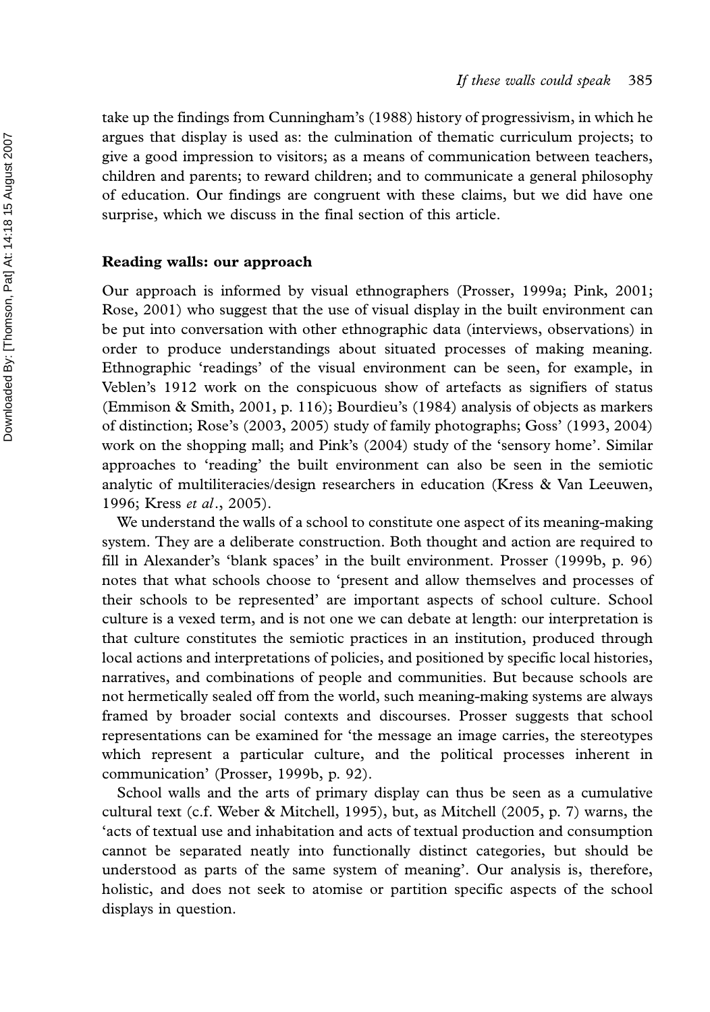take up the findings from Cunningham's (1988) history of progressivism, in which he argues that display is used as: the culmination of thematic curriculum projects; to give a good impression to visitors; as a means of communication between teachers, children and parents; to reward children; and to communicate a general philosophy of education. Our findings are congruent with these claims, but we did have one surprise, which we discuss in the final section of this article.

#### Reading walls: our approach

Our approach is informed by visual ethnographers (Prosser, 1999a; Pink, 2001; Rose, 2001) who suggest that the use of visual display in the built environment can be put into conversation with other ethnographic data (interviews, observations) in order to produce understandings about situated processes of making meaning. Ethnographic 'readings' of the visual environment can be seen, for example, in Veblen's 1912 work on the conspicuous show of artefacts as signifiers of status (Emmison & Smith, 2001, p. 116); Bourdieu's (1984) analysis of objects as markers of distinction; Rose's (2003, 2005) study of family photographs; Goss' (1993, 2004) work on the shopping mall; and Pink's (2004) study of the 'sensory home'. Similar approaches to 'reading' the built environment can also be seen in the semiotic analytic of multiliteracies/design researchers in education (Kress & Van Leeuwen, 1996; Kress et al., 2005).

We understand the walls of a school to constitute one aspect of its meaning-making system. They are a deliberate construction. Both thought and action are required to fill in Alexander's 'blank spaces' in the built environment. Prosser (1999b, p. 96) notes that what schools choose to 'present and allow themselves and processes of their schools to be represented' are important aspects of school culture. School culture is a vexed term, and is not one we can debate at length: our interpretation is that culture constitutes the semiotic practices in an institution, produced through local actions and interpretations of policies, and positioned by specific local histories, narratives, and combinations of people and communities. But because schools are not hermetically sealed off from the world, such meaning-making systems are always framed by broader social contexts and discourses. Prosser suggests that school representations can be examined for 'the message an image carries, the stereotypes which represent a particular culture, and the political processes inherent in communication' (Prosser, 1999b, p. 92).

School walls and the arts of primary display can thus be seen as a cumulative cultural text (c.f. Weber & Mitchell, 1995), but, as Mitchell (2005, p. 7) warns, the 'acts of textual use and inhabitation and acts of textual production and consumption cannot be separated neatly into functionally distinct categories, but should be understood as parts of the same system of meaning'. Our analysis is, therefore, holistic, and does not seek to atomise or partition specific aspects of the school displays in question.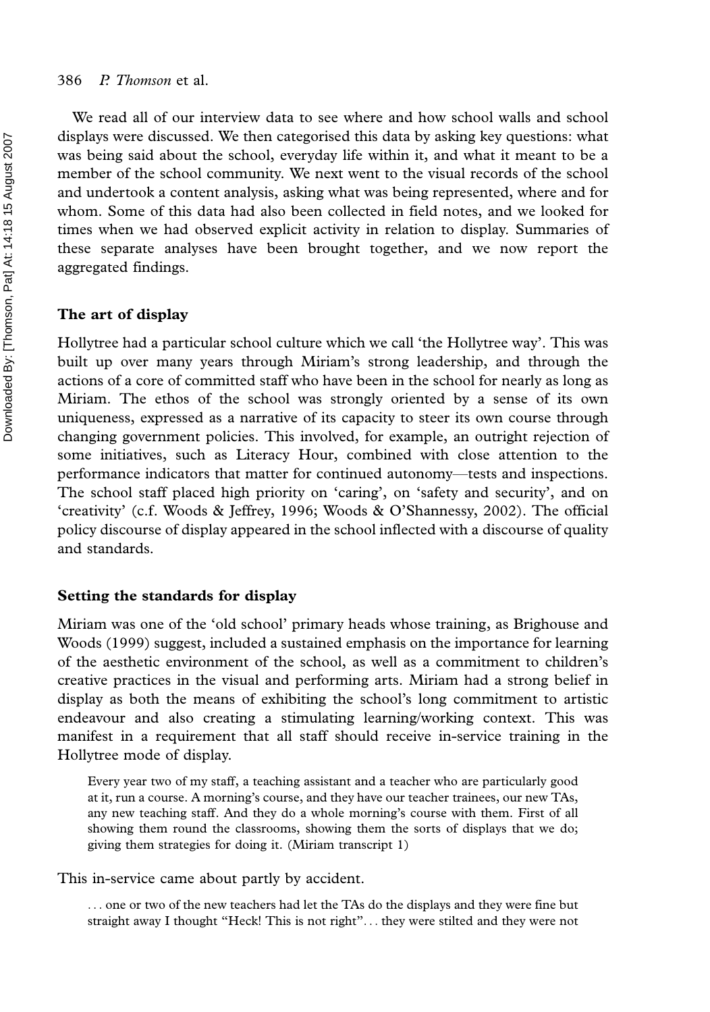#### 386 P. Thomson et al.

We read all of our interview data to see where and how school walls and school displays were discussed. We then categorised this data by asking key questions: what was being said about the school, everyday life within it, and what it meant to be a member of the school community. We next went to the visual records of the school and undertook a content analysis, asking what was being represented, where and for whom. Some of this data had also been collected in field notes, and we looked for times when we had observed explicit activity in relation to display. Summaries of these separate analyses have been brought together, and we now report the aggregated findings.

#### The art of display

Hollytree had a particular school culture which we call 'the Hollytree way'. This was built up over many years through Miriam's strong leadership, and through the actions of a core of committed staff who have been in the school for nearly as long as Miriam. The ethos of the school was strongly oriented by a sense of its own uniqueness, expressed as a narrative of its capacity to steer its own course through changing government policies. This involved, for example, an outright rejection of some initiatives, such as Literacy Hour, combined with close attention to the performance indicators that matter for continued autonomy—tests and inspections. The school staff placed high priority on 'caring', on 'safety and security', and on 'creativity' (c.f. Woods & Jeffrey, 1996; Woods & O'Shannessy, 2002). The official policy discourse of display appeared in the school inflected with a discourse of quality and standards.

#### Setting the standards for display

Miriam was one of the 'old school' primary heads whose training, as Brighouse and Woods (1999) suggest, included a sustained emphasis on the importance for learning of the aesthetic environment of the school, as well as a commitment to children's creative practices in the visual and performing arts. Miriam had a strong belief in display as both the means of exhibiting the school's long commitment to artistic endeavour and also creating a stimulating learning/working context. This was manifest in a requirement that all staff should receive in-service training in the Hollytree mode of display.

Every year two of my staff, a teaching assistant and a teacher who are particularly good at it, run a course. A morning's course, and they have our teacher trainees, our new TAs, any new teaching staff. And they do a whole morning's course with them. First of all showing them round the classrooms, showing them the sorts of displays that we do; giving them strategies for doing it. (Miriam transcript 1)

This in-service came about partly by accident.

... one or two of the new teachers had let the TAs do the displays and they were fine but straight away I thought ''Heck! This is not right''... they were stilted and they were not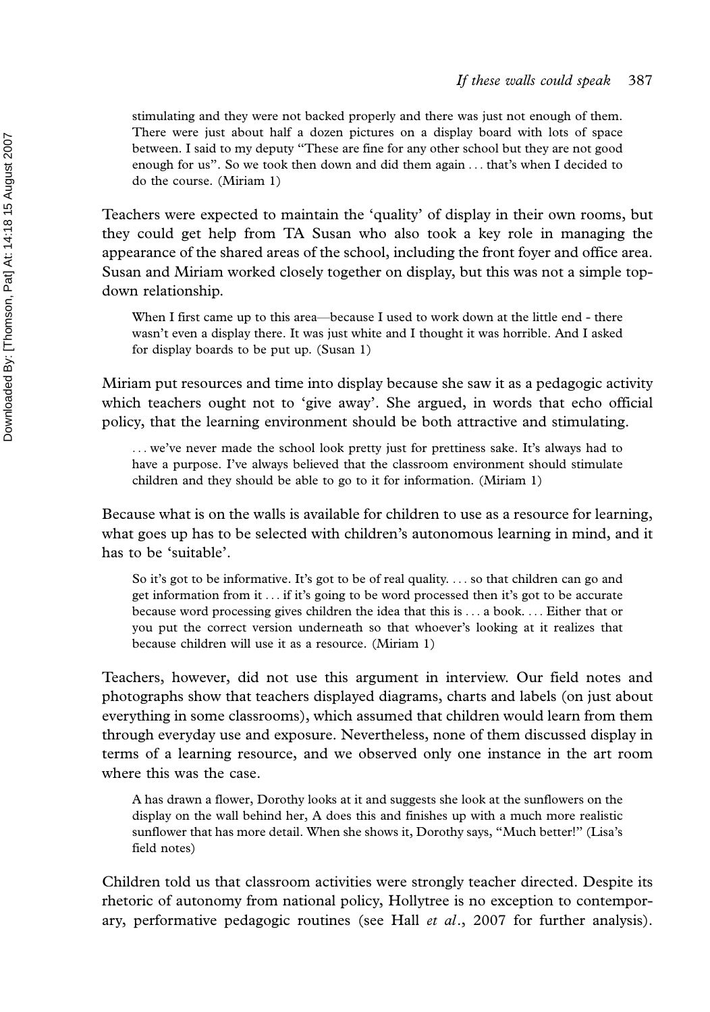stimulating and they were not backed properly and there was just not enough of them. There were just about half a dozen pictures on a display board with lots of space between. I said to my deputy ''These are fine for any other school but they are not good enough for us''. So we took then down and did them again ... that's when I decided to do the course. (Miriam 1)

Teachers were expected to maintain the 'quality' of display in their own rooms, but they could get help from TA Susan who also took a key role in managing the appearance of the shared areas of the school, including the front foyer and office area. Susan and Miriam worked closely together on display, but this was not a simple topdown relationship.

When I first came up to this area—because I used to work down at the little end - there wasn't even a display there. It was just white and I thought it was horrible. And I asked for display boards to be put up. (Susan 1)

Miriam put resources and time into display because she saw it as a pedagogic activity which teachers ought not to 'give away'. She argued, in words that echo official policy, that the learning environment should be both attractive and stimulating.

... we've never made the school look pretty just for prettiness sake. It's always had to have a purpose. I've always believed that the classroom environment should stimulate children and they should be able to go to it for information. (Miriam 1)

Because what is on the walls is available for children to use as a resource for learning, what goes up has to be selected with children's autonomous learning in mind, and it has to be 'suitable'.

So it's got to be informative. It's got to be of real quality. ... so that children can go and get information from it ... if it's going to be word processed then it's got to be accurate because word processing gives children the idea that this is ... a book. ... Either that or you put the correct version underneath so that whoever's looking at it realizes that because children will use it as a resource. (Miriam 1)

Teachers, however, did not use this argument in interview. Our field notes and photographs show that teachers displayed diagrams, charts and labels (on just about everything in some classrooms), which assumed that children would learn from them through everyday use and exposure. Nevertheless, none of them discussed display in terms of a learning resource, and we observed only one instance in the art room where this was the case.

A has drawn a flower, Dorothy looks at it and suggests she look at the sunflowers on the display on the wall behind her, A does this and finishes up with a much more realistic sunflower that has more detail. When she shows it, Dorothy says, ''Much better!'' (Lisa's field notes)

Children told us that classroom activities were strongly teacher directed. Despite its rhetoric of autonomy from national policy, Hollytree is no exception to contemporary, performative pedagogic routines (see Hall *et al.*, 2007 for further analysis).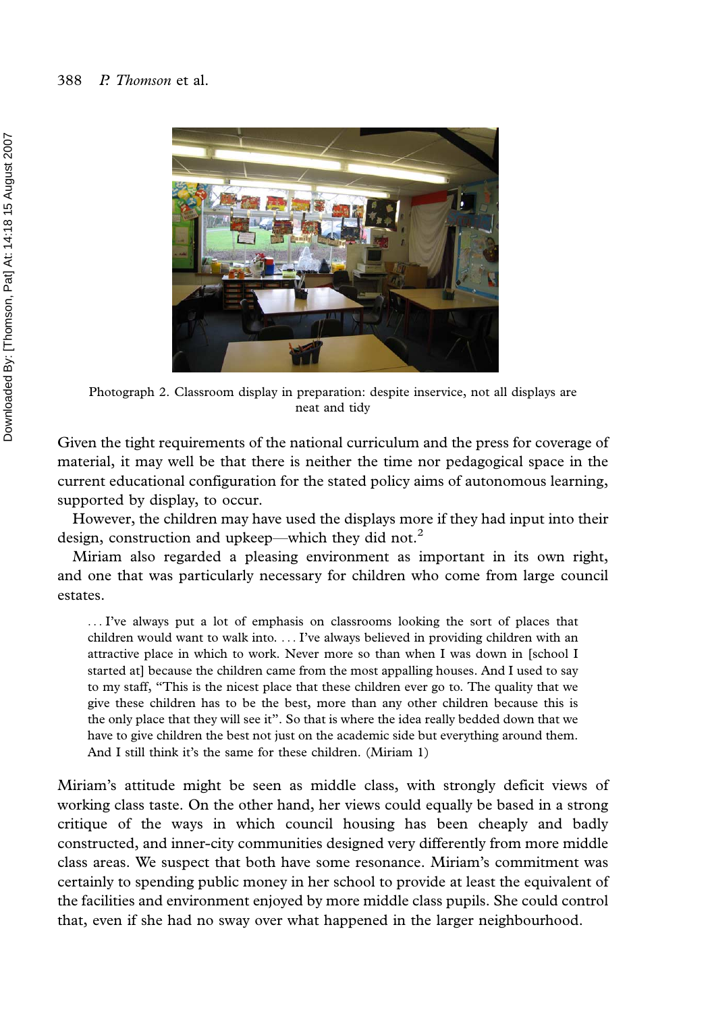

Photograph 2. Classroom display in preparation: despite inservice, not all displays are neat and tidy

Given the tight requirements of the national curriculum and the press for coverage of material, it may well be that there is neither the time nor pedagogical space in the current educational configuration for the stated policy aims of autonomous learning, supported by display, to occur.

However, the children may have used the displays more if they had input into their design, construction and upkeep—which they did not.<sup>2</sup>

Miriam also regarded a pleasing environment as important in its own right, and one that was particularly necessary for children who come from large council estates.

... I've always put a lot of emphasis on classrooms looking the sort of places that children would want to walk into. ... I've always believed in providing children with an attractive place in which to work. Never more so than when I was down in [school I started at] because the children came from the most appalling houses. And I used to say to my staff, ''This is the nicest place that these children ever go to. The quality that we give these children has to be the best, more than any other children because this is the only place that they will see it''. So that is where the idea really bedded down that we have to give children the best not just on the academic side but everything around them. And I still think it's the same for these children. (Miriam 1)

Miriam's attitude might be seen as middle class, with strongly deficit views of working class taste. On the other hand, her views could equally be based in a strong critique of the ways in which council housing has been cheaply and badly constructed, and inner-city communities designed very differently from more middle class areas. We suspect that both have some resonance. Miriam's commitment was certainly to spending public money in her school to provide at least the equivalent of the facilities and environment enjoyed by more middle class pupils. She could control that, even if she had no sway over what happened in the larger neighbourhood.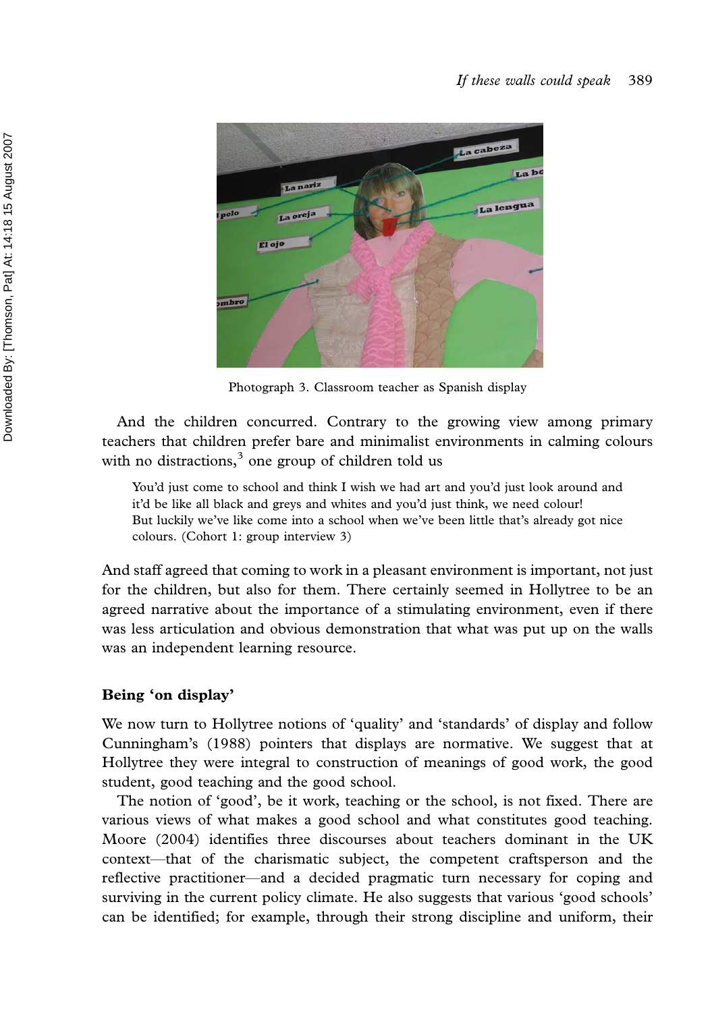

Photograph 3. Classroom teacher as Spanish display

And the children concurred. Contrary to the growing view among primary teachers that children prefer bare and minimalist environments in calming colours with no distractions, $3$  one group of children told us

You'd just come to school and think I wish we had art and you'd just look around and it'd be like all black and greys and whites and you'd just think, we need colour! But luckily we've like come into a school when we've been little that's already got nice colours. (Cohort 1: group interview 3)

And staff agreed that coming to work in a pleasant environment is important, not just for the children, but also for them. There certainly seemed in Hollytree to be an agreed narrative about the importance of a stimulating environment, even if there was less articulation and obvious demonstration that what was put up on the walls was an independent learning resource.

## Being 'on display'

We now turn to Hollytree notions of 'quality' and 'standards' of display and follow Cunningham's (1988) pointers that displays are normative. We suggest that at Hollytree they were integral to construction of meanings of good work, the good student, good teaching and the good school.

The notion of 'good', be it work, teaching or the school, is not fixed. There are various views of what makes a good school and what constitutes good teaching. Moore (2004) identifies three discourses about teachers dominant in the UK context—that of the charismatic subject, the competent craftsperson and the reflective practitioner\*/and a decided pragmatic turn necessary for coping and surviving in the current policy climate. He also suggests that various 'good schools' can be identified; for example, through their strong discipline and uniform, their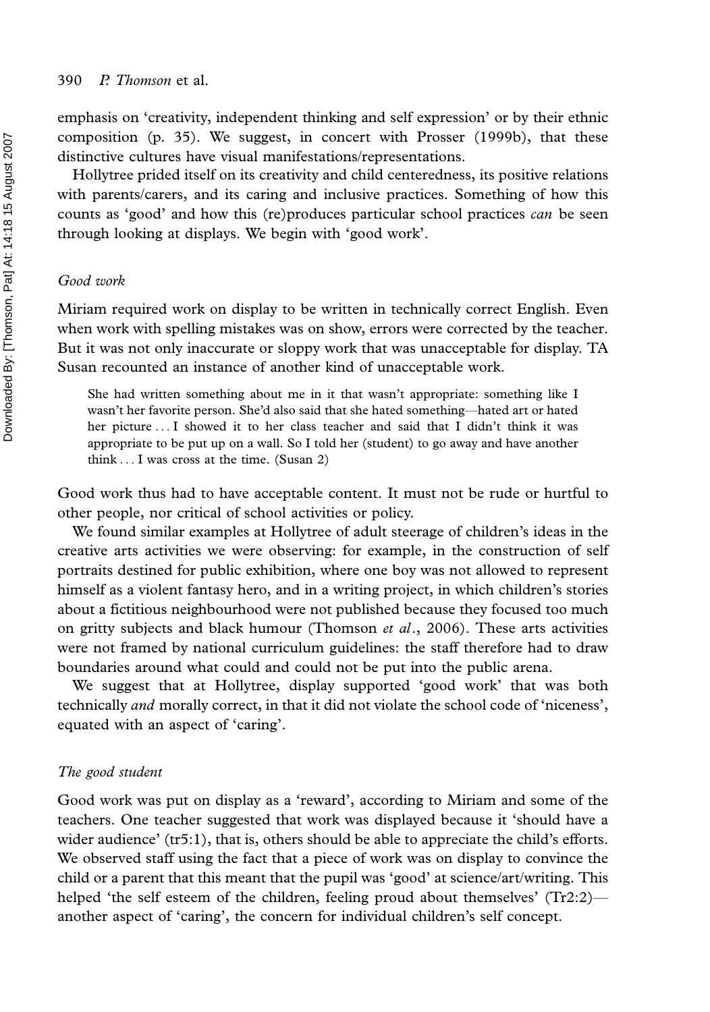emphasis on 'creativity, independent thinking and self expression' or by their ethnic composition (p. 35). We suggest, in concert with Prosser (1999b), that these distinctive cultures have visual manifestations/representations.

Hollytree prided itself on its creativity and child centeredness, its positive relations with parents/carers, and its caring and inclusive practices. Something of how this counts as 'good' and how this (re)produces particular school practices *can* be seen through looking at displays. We begin with 'good work'.

#### Good work

Miriam required work on display to be written in technically correct English. Even when work with spelling mistakes was on show, errors were corrected by the teacher. But it was not only inaccurate or sloppy work that was unacceptable for display. TA Susan recounted an instance of another kind of unacceptable work.

She had written something about me in it that wasn't appropriate: something like I wasn't her favorite person. She'd also said that she hated something—hated art or hated her picture ... I showed it to her class teacher and said that I didn't think it was appropriate to be put up on a wall. So I told her (student) to go away and have another think ... I was cross at the time. (Susan 2)

Good work thus had to have acceptable content. It must not be rude or hurtful to other people, nor critical of school activities or policy.

We found similar examples at Hollytree of adult steerage of children's ideas in the creative arts activities we were observing: for example, in the construction of self portraits destined for public exhibition, where one boy was not allowed to represent himself as a violent fantasy hero, and in a writing project, in which children's stories about a fictitious neighbourhood were not published because they focused too much on gritty subjects and black humour (Thomson et  $al.$ , 2006). These arts activities were not framed by national curriculum guidelines: the staff therefore had to draw boundaries around what could and could not be put into the public arena.

We suggest that at Hollytree, display supported 'good work' that was both technically and morally correct, in that it did not violate the school code of 'niceness', equated with an aspect of 'caring'.

#### The good student

Good work was put on display as a 'reward', according to Miriam and some of the teachers. One teacher suggested that work was displayed because it 'should have a wider audience' (tr5:1), that is, others should be able to appreciate the child's efforts. We observed staff using the fact that a piece of work was on display to convince the child or a parent that this meant that the pupil was 'good' at science/art/writing. This helped 'the self esteem of the children, feeling proud about themselves'  $(Tr2:2)$  another aspect of 'caring', the concern for individual children's self concept.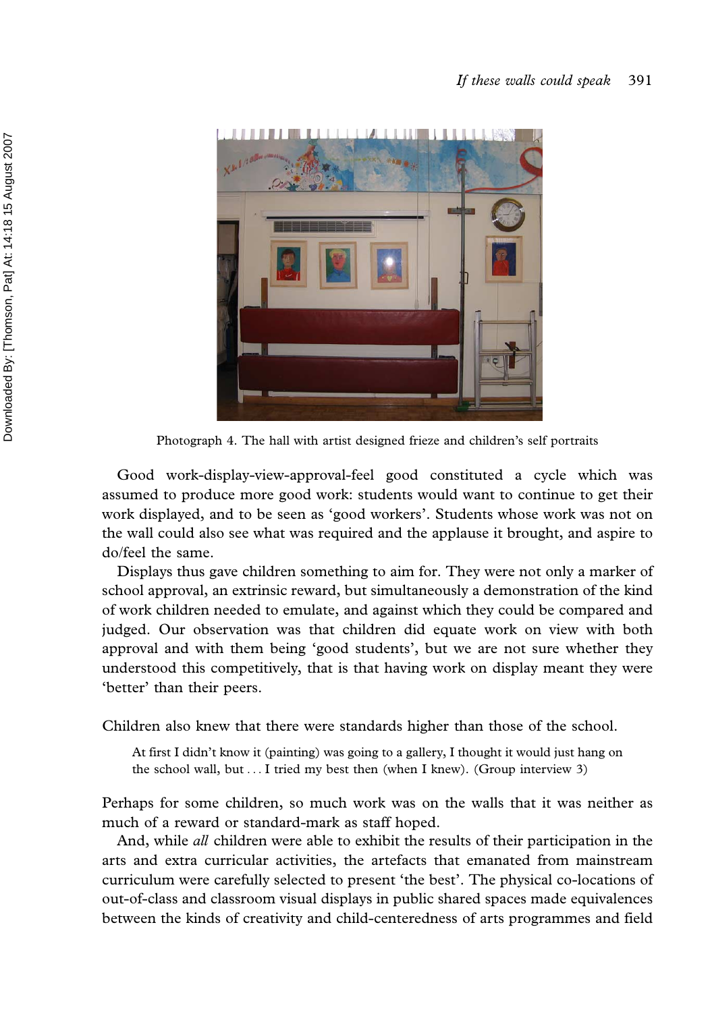

Photograph 4. The hall with artist designed frieze and children's self portraits

Good work-display-view-approval-feel good constituted a cycle which was assumed to produce more good work: students would want to continue to get their work displayed, and to be seen as 'good workers'. Students whose work was not on the wall could also see what was required and the applause it brought, and aspire to do/feel the same.

Displays thus gave children something to aim for. They were not only a marker of school approval, an extrinsic reward, but simultaneously a demonstration of the kind of work children needed to emulate, and against which they could be compared and judged. Our observation was that children did equate work on view with both approval and with them being 'good students', but we are not sure whether they understood this competitively, that is that having work on display meant they were 'better' than their peers.

Children also knew that there were standards higher than those of the school.

At first I didn't know it (painting) was going to a gallery, I thought it would just hang on the school wall, but ... I tried my best then (when I knew). (Group interview 3)

Perhaps for some children, so much work was on the walls that it was neither as much of a reward or standard-mark as staff hoped.

And, while all children were able to exhibit the results of their participation in the arts and extra curricular activities, the artefacts that emanated from mainstream curriculum were carefully selected to present 'the best'. The physical co-locations of out-of-class and classroom visual displays in public shared spaces made equivalences between the kinds of creativity and child-centeredness of arts programmes and field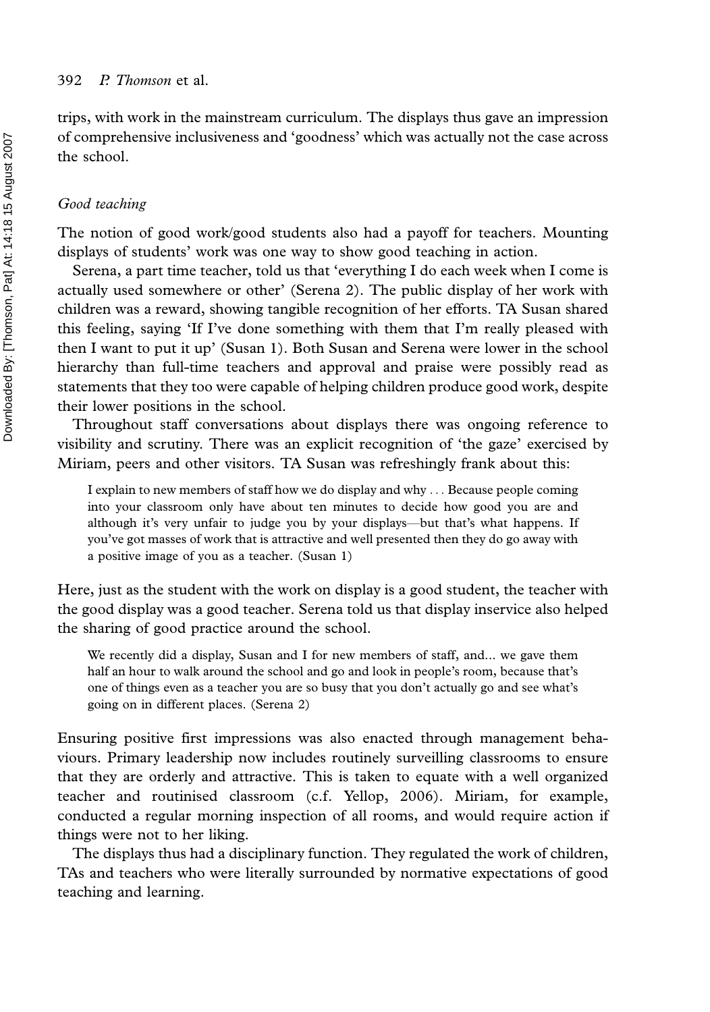trips, with work in the mainstream curriculum. The displays thus gave an impression of comprehensive inclusiveness and 'goodness' which was actually not the case across the school.

#### Good teaching

The notion of good work/good students also had a payoff for teachers. Mounting displays of students' work was one way to show good teaching in action.

Serena, a part time teacher, told us that 'everything I do each week when I come is actually used somewhere or other' (Serena 2). The public display of her work with children was a reward, showing tangible recognition of her efforts. TA Susan shared this feeling, saying 'If I've done something with them that I'm really pleased with then I want to put it up' (Susan 1). Both Susan and Serena were lower in the school hierarchy than full-time teachers and approval and praise were possibly read as statements that they too were capable of helping children produce good work, despite their lower positions in the school.

Throughout staff conversations about displays there was ongoing reference to visibility and scrutiny. There was an explicit recognition of 'the gaze' exercised by Miriam, peers and other visitors. TA Susan was refreshingly frank about this:

I explain to new members of staff how we do display and why ... Because people coming into your classroom only have about ten minutes to decide how good you are and although it's very unfair to judge you by your displays—but that's what happens. If you've got masses of work that is attractive and well presented then they do go away with a positive image of you as a teacher. (Susan 1)

Here, just as the student with the work on display is a good student, the teacher with the good display was a good teacher. Serena told us that display inservice also helped the sharing of good practice around the school.

We recently did a display, Susan and I for new members of staff, and... we gave them half an hour to walk around the school and go and look in people's room, because that's one of things even as a teacher you are so busy that you don't actually go and see what's going on in different places. (Serena 2)

Ensuring positive first impressions was also enacted through management behaviours. Primary leadership now includes routinely surveilling classrooms to ensure that they are orderly and attractive. This is taken to equate with a well organized teacher and routinised classroom (c.f. Yellop, 2006). Miriam, for example, conducted a regular morning inspection of all rooms, and would require action if things were not to her liking.

The displays thus had a disciplinary function. They regulated the work of children, TAs and teachers who were literally surrounded by normative expectations of good teaching and learning.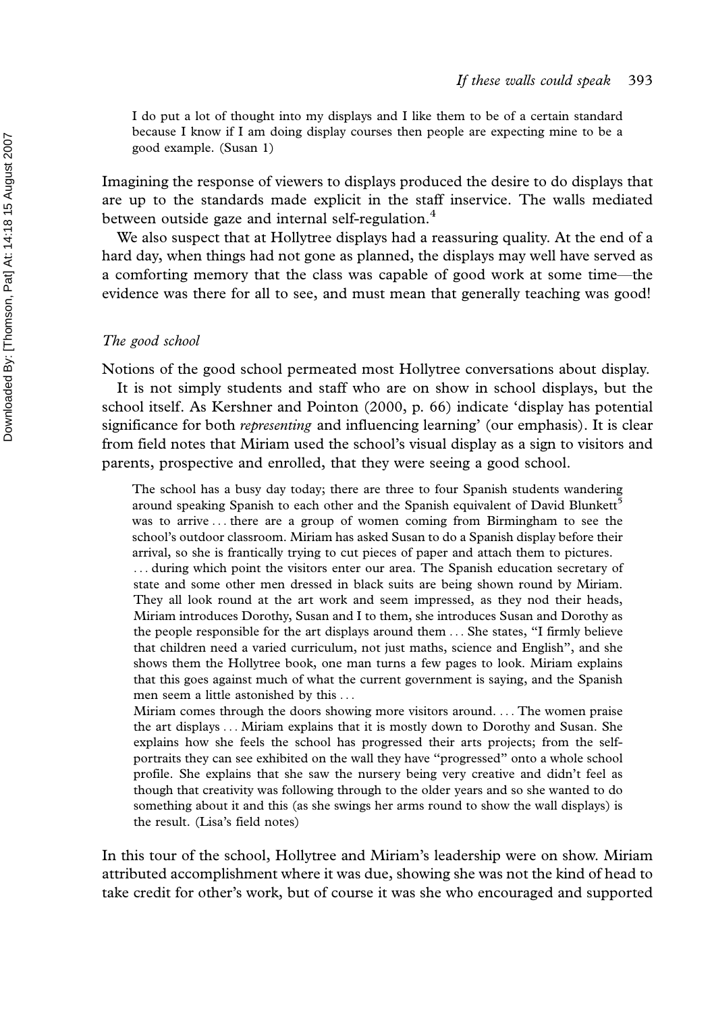I do put a lot of thought into my displays and I like them to be of a certain standard because I know if I am doing display courses then people are expecting mine to be a good example. (Susan 1)

Imagining the response of viewers to displays produced the desire to do displays that are up to the standards made explicit in the staff inservice. The walls mediated between outside gaze and internal self-regulation.<sup>4</sup>

We also suspect that at Hollytree displays had a reassuring quality. At the end of a hard day, when things had not gone as planned, the displays may well have served as a comforting memory that the class was capable of good work at some time—the evidence was there for all to see, and must mean that generally teaching was good!

#### The good school

Notions of the good school permeated most Hollytree conversations about display.

It is not simply students and staff who are on show in school displays, but the school itself. As Kershner and Pointon (2000, p. 66) indicate 'display has potential significance for both *representing* and influencing learning' (our emphasis). It is clear from field notes that Miriam used the school's visual display as a sign to visitors and parents, prospective and enrolled, that they were seeing a good school.

The school has a busy day today; there are three to four Spanish students wandering around speaking Spanish to each other and the Spanish equivalent of David Blunkett<sup>5</sup> was to arrive ... there are a group of women coming from Birmingham to see the school's outdoor classroom. Miriam has asked Susan to do a Spanish display before their arrival, so she is frantically trying to cut pieces of paper and attach them to pictures. ... during which point the visitors enter our area. The Spanish education secretary of state and some other men dressed in black suits are being shown round by Miriam. They all look round at the art work and seem impressed, as they nod their heads, Miriam introduces Dorothy, Susan and I to them, she introduces Susan and Dorothy as the people responsible for the art displays around them ... She states, ''I firmly believe that children need a varied curriculum, not just maths, science and English'', and she shows them the Hollytree book, one man turns a few pages to look. Miriam explains that this goes against much of what the current government is saying, and the Spanish

men seem a little astonished by this ... Miriam comes through the doors showing more visitors around. ... The women praise the art displays ... Miriam explains that it is mostly down to Dorothy and Susan. She explains how she feels the school has progressed their arts projects; from the selfportraits they can see exhibited on the wall they have ''progressed'' onto a whole school profile. She explains that she saw the nursery being very creative and didn't feel as though that creativity was following through to the older years and so she wanted to do something about it and this (as she swings her arms round to show the wall displays) is the result. (Lisa's field notes)

In this tour of the school, Hollytree and Miriam's leadership were on show. Miriam attributed accomplishment where it was due, showing she was not the kind of head to take credit for other's work, but of course it was she who encouraged and supported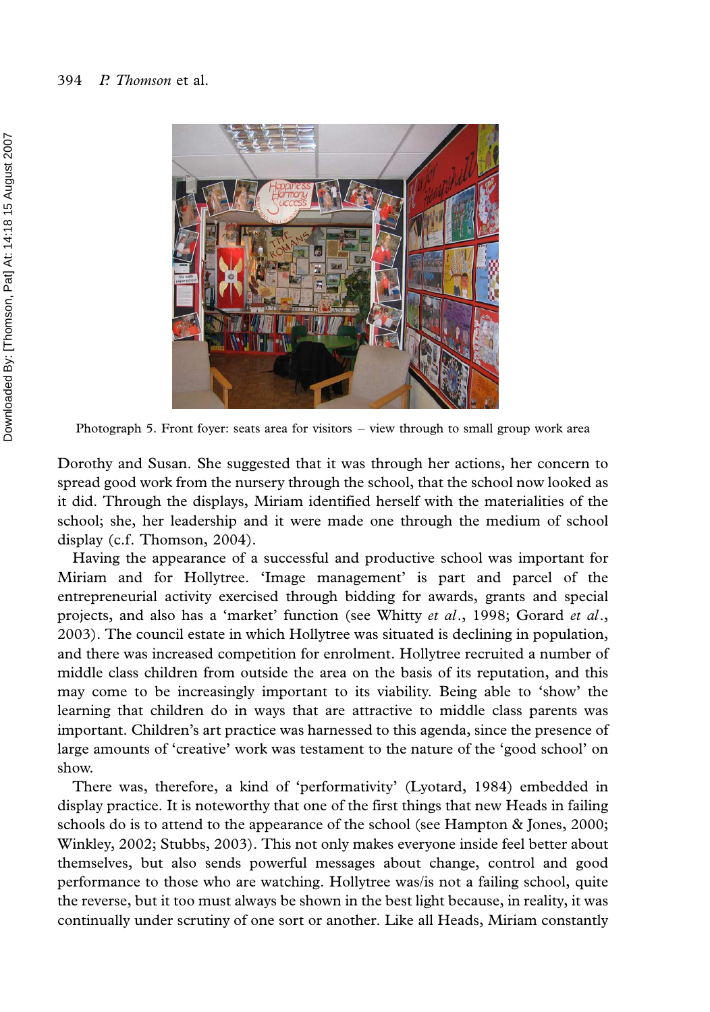

Photograph 5. Front foyer: seats area for visitors  $-$  view through to small group work area

Dorothy and Susan. She suggested that it was through her actions, her concern to spread good work from the nursery through the school, that the school now looked as it did. Through the displays, Miriam identified herself with the materialities of the school; she, her leadership and it were made one through the medium of school display (c.f. Thomson, 2004).

Having the appearance of a successful and productive school was important for Miriam and for Hollytree. 'Image management' is part and parcel of the entrepreneurial activity exercised through bidding for awards, grants and special projects, and also has a 'market' function (see Whitty et al., 1998; Gorard et al., 2003). The council estate in which Hollytree was situated is declining in population, and there was increased competition for enrolment. Hollytree recruited a number of middle class children from outside the area on the basis of its reputation, and this may come to be increasingly important to its viability. Being able to 'show' the learning that children do in ways that are attractive to middle class parents was important. Children's art practice was harnessed to this agenda, since the presence of large amounts of 'creative' work was testament to the nature of the 'good school' on show.

There was, therefore, a kind of 'performativity' (Lyotard, 1984) embedded in display practice. It is noteworthy that one of the first things that new Heads in failing schools do is to attend to the appearance of the school (see Hampton & Jones, 2000; Winkley, 2002; Stubbs, 2003). This not only makes everyone inside feel better about themselves, but also sends powerful messages about change, control and good performance to those who are watching. Hollytree was/is not a failing school, quite the reverse, but it too must always be shown in the best light because, in reality, it was continually under scrutiny of one sort or another. Like all Heads, Miriam constantly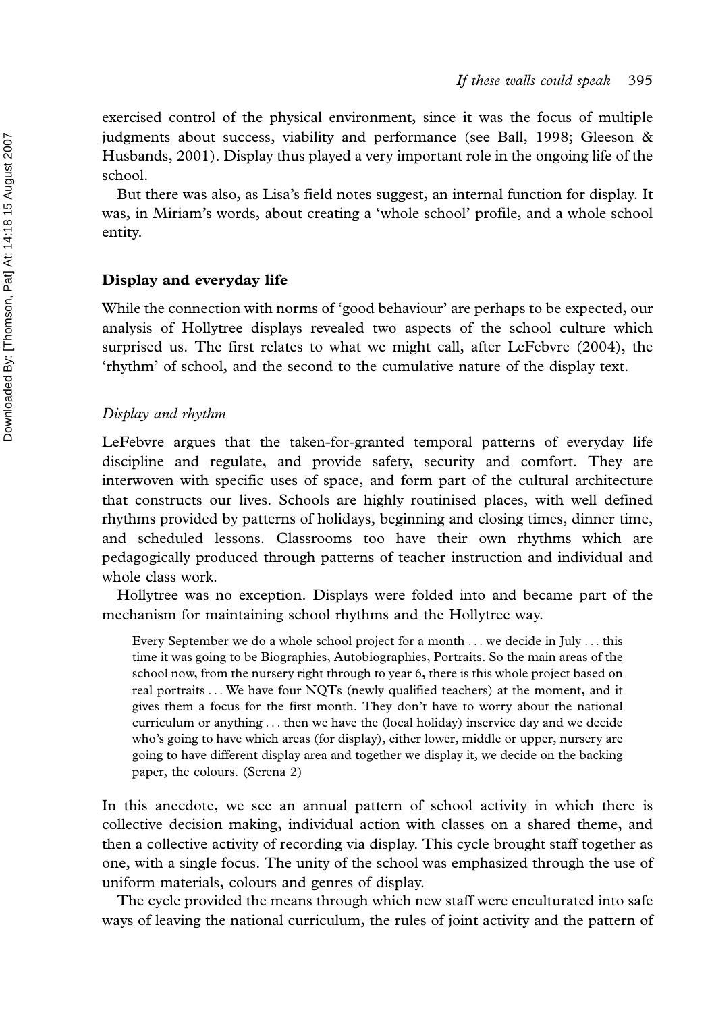exercised control of the physical environment, since it was the focus of multiple judgments about success, viability and performance (see Ball, 1998; Gleeson & Husbands, 2001). Display thus played a very important role in the ongoing life of the school.

But there was also, as Lisa's field notes suggest, an internal function for display. It was, in Miriam's words, about creating a 'whole school' profile, and a whole school entity.

#### Display and everyday life

While the connection with norms of 'good behaviour' are perhaps to be expected, our analysis of Hollytree displays revealed two aspects of the school culture which surprised us. The first relates to what we might call, after LeFebvre (2004), the 'rhythm' of school, and the second to the cumulative nature of the display text.

#### Display and rhythm

LeFebvre argues that the taken-for-granted temporal patterns of everyday life discipline and regulate, and provide safety, security and comfort. They are interwoven with specific uses of space, and form part of the cultural architecture that constructs our lives. Schools are highly routinised places, with well defined rhythms provided by patterns of holidays, beginning and closing times, dinner time, and scheduled lessons. Classrooms too have their own rhythms which are pedagogically produced through patterns of teacher instruction and individual and whole class work.

Hollytree was no exception. Displays were folded into and became part of the mechanism for maintaining school rhythms and the Hollytree way.

Every September we do a whole school project for a month ... we decide in July ... this time it was going to be Biographies, Autobiographies, Portraits. So the main areas of the school now, from the nursery right through to year 6, there is this whole project based on real portraits ... We have four NQTs (newly qualified teachers) at the moment, and it gives them a focus for the first month. They don't have to worry about the national curriculum or anything ... then we have the (local holiday) inservice day and we decide who's going to have which areas (for display), either lower, middle or upper, nursery are going to have different display area and together we display it, we decide on the backing paper, the colours. (Serena 2)

In this anecdote, we see an annual pattern of school activity in which there is collective decision making, individual action with classes on a shared theme, and then a collective activity of recording via display. This cycle brought staff together as one, with a single focus. The unity of the school was emphasized through the use of uniform materials, colours and genres of display.

The cycle provided the means through which new staff were enculturated into safe ways of leaving the national curriculum, the rules of joint activity and the pattern of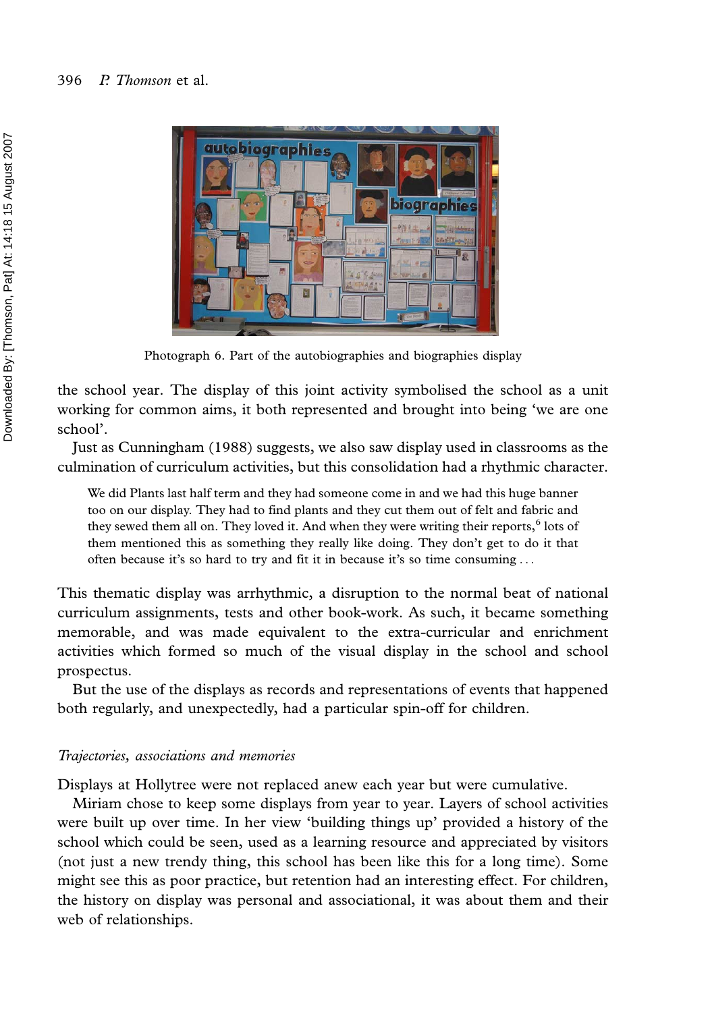

Photograph 6. Part of the autobiographies and biographies display

the school year. The display of this joint activity symbolised the school as a unit working for common aims, it both represented and brought into being 'we are one school'.

Just as Cunningham (1988) suggests, we also saw display used in classrooms as the culmination of curriculum activities, but this consolidation had a rhythmic character.

We did Plants last half term and they had someone come in and we had this huge banner too on our display. They had to find plants and they cut them out of felt and fabric and they sewed them all on. They loved it. And when they were writing their reports,<sup>6</sup> lots of them mentioned this as something they really like doing. They don't get to do it that often because it's so hard to try and fit it in because it's so time consuming ...

This thematic display was arrhythmic, a disruption to the normal beat of national curriculum assignments, tests and other book-work. As such, it became something memorable, and was made equivalent to the extra-curricular and enrichment activities which formed so much of the visual display in the school and school prospectus.

But the use of the displays as records and representations of events that happened both regularly, and unexpectedly, had a particular spin-off for children.

### Trajectories, associations and memories

Displays at Hollytree were not replaced anew each year but were cumulative.

Miriam chose to keep some displays from year to year. Layers of school activities were built up over time. In her view 'building things up' provided a history of the school which could be seen, used as a learning resource and appreciated by visitors (not just a new trendy thing, this school has been like this for a long time). Some might see this as poor practice, but retention had an interesting effect. For children, the history on display was personal and associational, it was about them and their web of relationships.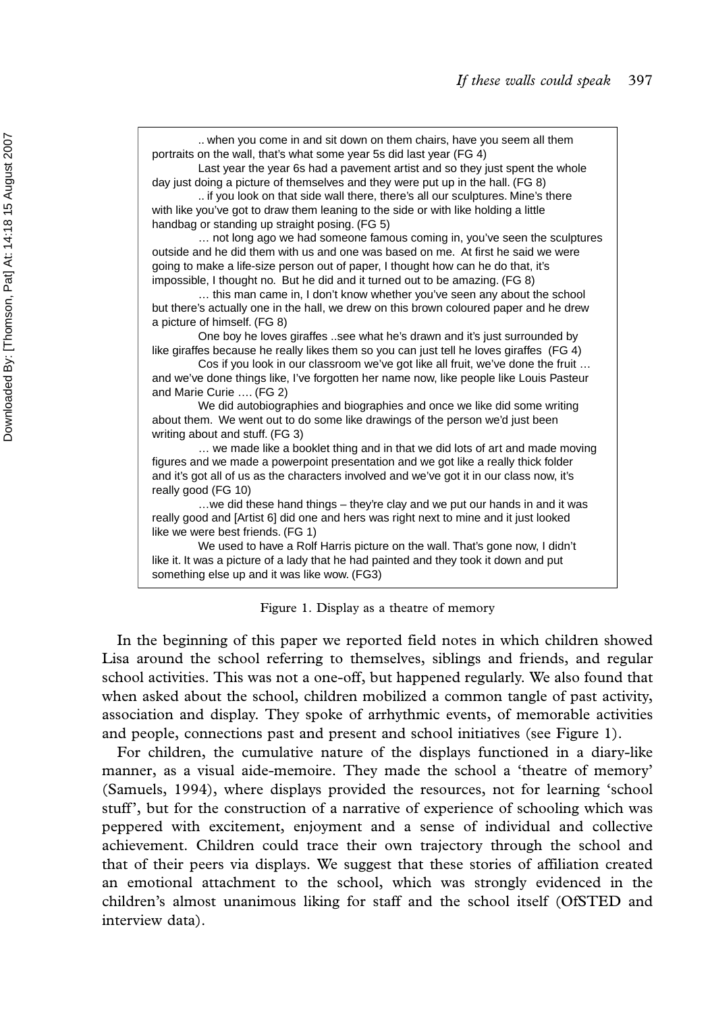.. when you come in and sit down on them chairs, have you seem all them portraits on the wall, that's what some year 5s did last year (FG 4)

Last year the year 6s had a pavement artist and so they just spent the whole day just doing a picture of themselves and they were put up in the hall. (FG 8)

.. if you look on that side wall there, there's all our sculptures. Mine's there with like you've got to draw them leaning to the side or with like holding a little handbag or standing up straight posing. (FG 5)

… not long ago we had someone famous coming in, you've seen the sculptures outside and he did them with us and one was based on me. At first he said we were going to make a life-size person out of paper, I thought how can he do that, it's impossible, I thought no. But he did and it turned out to be amazing. (FG 8)

… this man came in, I don't know whether you've seen any about the school but there's actually one in the hall, we drew on this brown coloured paper and he drew a picture of himself. (FG 8)

One boy he loves giraffes ..see what he's drawn and it's just surrounded by like giraffes because he really likes them so you can just tell he loves giraffes (FG 4)

Cos if you look in our classroom we've got like all fruit, we've done the fruit … and we've done things like, I've forgotten her name now, like people like Louis Pasteur and Marie Curie …. (FG 2)

We did autobiographies and biographies and once we like did some writing about them. We went out to do some like drawings of the person we'd just been writing about and stuff. (FG 3)

… we made like a booklet thing and in that we did lots of art and made moving figures and we made a powerpoint presentation and we got like a really thick folder and it's got all of us as the characters involved and we've got it in our class now, it's really good (FG 10)

…we did these hand things – they're clay and we put our hands in and it was really good and [Artist 6] did one and hers was right next to mine and it just looked like we were best friends. (FG 1)

We used to have a Rolf Harris picture on the wall. That's gone now, I didn't like it. It was a picture of a lady that he had painted and they took it down and put something else up and it was like wow. (FG3)

Figure 1. Display as a theatre of memory

In the beginning of this paper we reported field notes in which children showed Lisa around the school referring to themselves, siblings and friends, and regular school activities. This was not a one-off, but happened regularly. We also found that when asked about the school, children mobilized a common tangle of past activity, association and display. They spoke of arrhythmic events, of memorable activities and people, connections past and present and school initiatives (see Figure 1).

For children, the cumulative nature of the displays functioned in a diary-like manner, as a visual aide-memoire. They made the school a 'theatre of memory' (Samuels, 1994), where displays provided the resources, not for learning 'school stuff', but for the construction of a narrative of experience of schooling which was peppered with excitement, enjoyment and a sense of individual and collective achievement. Children could trace their own trajectory through the school and that of their peers via displays. We suggest that these stories of affiliation created an emotional attachment to the school, which was strongly evidenced in the children's almost unanimous liking for staff and the school itself (OfSTED and interview data).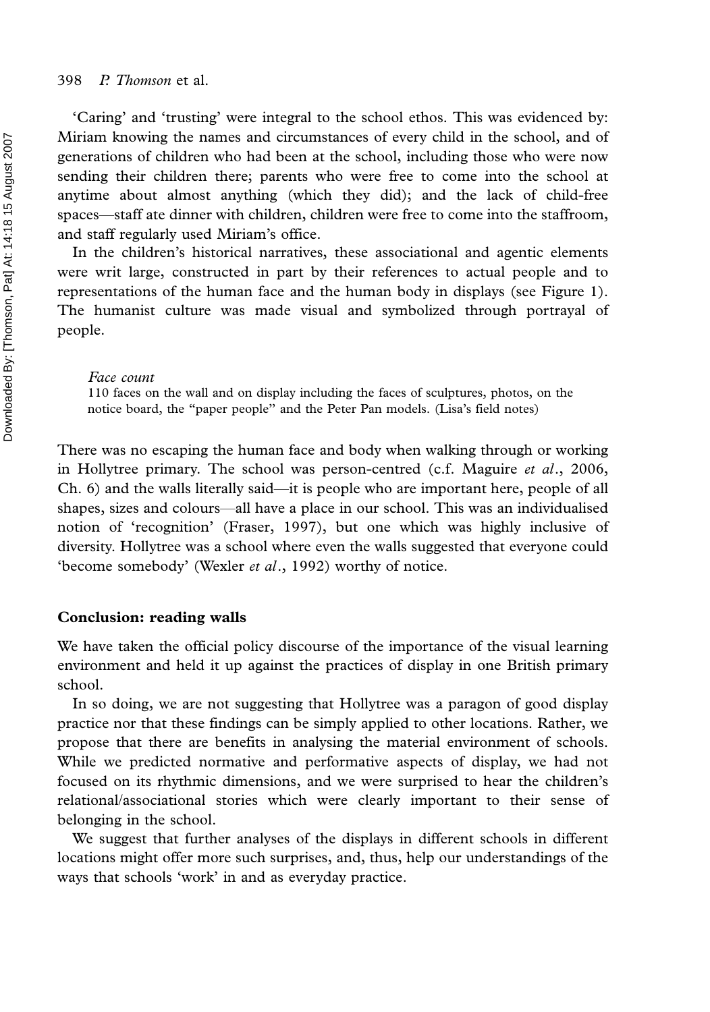'Caring' and 'trusting' were integral to the school ethos. This was evidenced by: Miriam knowing the names and circumstances of every child in the school, and of generations of children who had been at the school, including those who were now sending their children there; parents who were free to come into the school at anytime about almost anything (which they did); and the lack of child-free spaces-staff ate dinner with children, children were free to come into the staffroom, and staff regularly used Miriam's office.

In the children's historical narratives, these associational and agentic elements were writ large, constructed in part by their references to actual people and to representations of the human face and the human body in displays (see Figure 1). The humanist culture was made visual and symbolized through portrayal of people.

#### Face count

110 faces on the wall and on display including the faces of sculptures, photos, on the notice board, the ''paper people'' and the Peter Pan models. (Lisa's field notes)

There was no escaping the human face and body when walking through or working in Hollytree primary. The school was person-centred (c.f. Maguire *et al.*, 2006, Ch. 6) and the walls literally said—it is people who are important here, people of all shapes, sizes and colours\*/all have a place in our school. This was an individualised notion of 'recognition' (Fraser, 1997), but one which was highly inclusive of diversity. Hollytree was a school where even the walls suggested that everyone could 'become somebody' (Wexler et al., 1992) worthy of notice.

#### Conclusion: reading walls

We have taken the official policy discourse of the importance of the visual learning environment and held it up against the practices of display in one British primary school.

In so doing, we are not suggesting that Hollytree was a paragon of good display practice nor that these findings can be simply applied to other locations. Rather, we propose that there are benefits in analysing the material environment of schools. While we predicted normative and performative aspects of display, we had not focused on its rhythmic dimensions, and we were surprised to hear the children's relational/associational stories which were clearly important to their sense of belonging in the school.

We suggest that further analyses of the displays in different schools in different locations might offer more such surprises, and, thus, help our understandings of the ways that schools 'work' in and as everyday practice.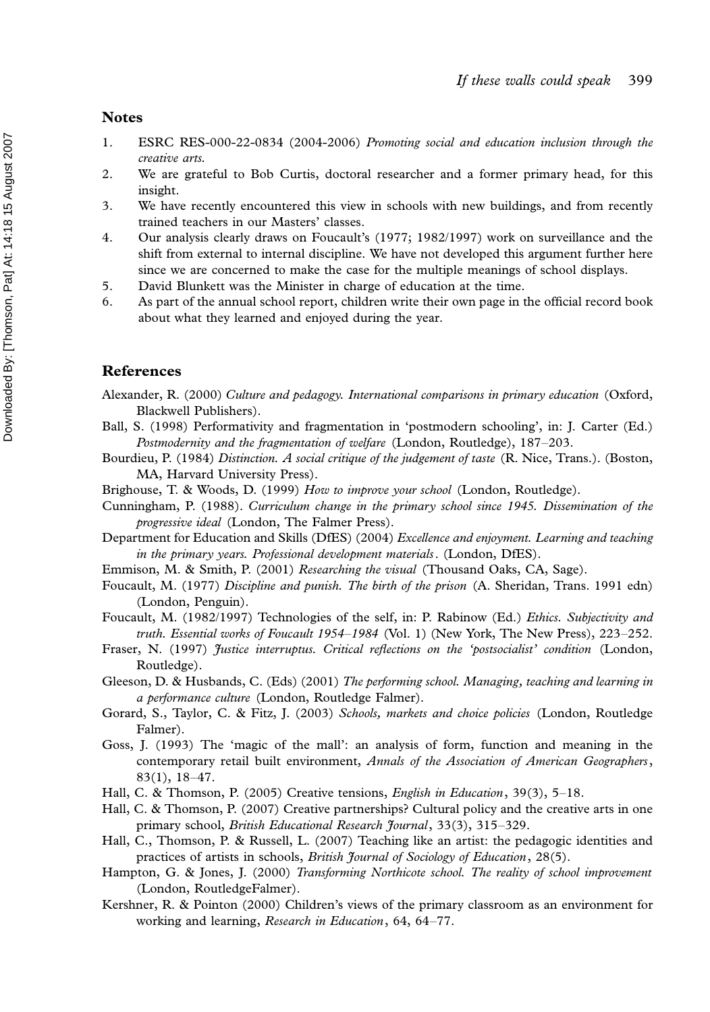#### **Notes**

- 1. ESRC RES-000-22-0834 (2004-2006) Promoting social and education inclusion through the creative arts.
- 2. We are grateful to Bob Curtis, doctoral researcher and a former primary head, for this insight.
- 3. We have recently encountered this view in schools with new buildings, and from recently trained teachers in our Masters' classes.
- 4. Our analysis clearly draws on Foucault's (1977; 1982/1997) work on surveillance and the shift from external to internal discipline. We have not developed this argument further here since we are concerned to make the case for the multiple meanings of school displays.
- 5. David Blunkett was the Minister in charge of education at the time.
- 6. As part of the annual school report, children write their own page in the official record book about what they learned and enjoyed during the year.

#### References

Alexander, R. (2000) Culture and pedagogy. International comparisons in primary education (Oxford, Blackwell Publishers).

- Ball, S. (1998) Performativity and fragmentation in 'postmodern schooling', in: J. Carter (Ed.) Postmodernity and the fragmentation of welfare (London, Routledge), 187–203.
- Bourdieu, P. (1984) Distinction. A social critique of the judgement of taste (R. Nice, Trans.). (Boston, MA, Harvard University Press).
- Brighouse, T. & Woods, D. (1999) How to improve your school (London, Routledge).
- Cunningham, P. (1988). Curriculum change in the primary school since 1945. Dissemination of the progressive ideal (London, The Falmer Press).
- Department for Education and Skills (DfES) (2004) Excellence and enjoyment. Learning and teaching in the primary years. Professional development materials. (London, DfES).
- Emmison, M. & Smith, P. (2001) Researching the visual (Thousand Oaks, CA, Sage).
- Foucault, M. (1977) Discipline and punish. The birth of the prison (A. Sheridan, Trans. 1991 edn) (London, Penguin).
- Foucault, M. (1982/1997) Technologies of the self, in: P. Rabinow (Ed.) Ethics. Subjectivity and truth. Essential works of Foucault 1954–1984 (Vol. 1) (New York, The New Press), 223–252.
- Fraser, N. (1997) Justice interruptus. Critical reflections on the 'postsocialist' condition (London, Routledge).
- Gleeson, D. & Husbands, C. (Eds) (2001) The performing school. Managing, teaching and learning in a performance culture (London, Routledge Falmer).
- Gorard, S., Taylor, C. & Fitz, J. (2003) Schools, markets and choice policies (London, Routledge Falmer).
- Goss, J. (1993) The 'magic of the mall': an analysis of form, function and meaning in the contemporary retail built environment, Annals of the Association of American Geographers,  $83(1), 18-47.$
- Hall, C. & Thomson, P. (2005) Creative tensions, English in Education, 39(3),  $5-18$ .
- Hall, C. & Thomson, P. (2007) Creative partnerships? Cultural policy and the creative arts in one primary school, *British Educational Research Journal*, 33(3), 315–329.
- Hall, C., Thomson, P. & Russell, L. (2007) Teaching like an artist: the pedagogic identities and practices of artists in schools, British Journal of Sociology of Education, 28(5).
- Hampton, G. & Jones, J. (2000) Transforming Northicote school. The reality of school improvement (London, RoutledgeFalmer).
- Kershner, R. & Pointon (2000) Children's views of the primary classroom as an environment for working and learning, Research in Education, 64, 64-77.